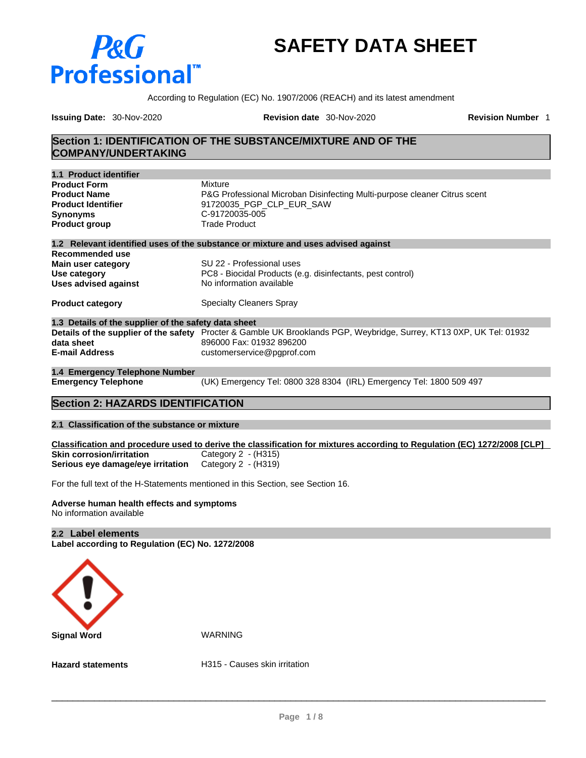# **P&G Professional**

# **SAFETY DATA SHEET**

According to Regulation (EC) No. 1907/2006 (REACH) and its latest amendment

**Issuing Date:** 30-Nov-2020 **Revision date** 30-Nov-2020 **Revision Number** 1

### **Section 1: IDENTIFICATION OF THE SUBSTANCE/MIXTURE AND OF THE COMPANY/UNDERTAKING**

| 1.1 Product identifier                               |                                                                                                                      |
|------------------------------------------------------|----------------------------------------------------------------------------------------------------------------------|
| <b>Product Form</b>                                  | Mixture                                                                                                              |
| <b>Product Name</b>                                  | P&G Professional Microban Disinfecting Multi-purpose cleaner Citrus scent                                            |
| <b>Product Identifier</b>                            | 91720035 PGP CLP EUR SAW                                                                                             |
| <b>Synonyms</b>                                      | C-91720035-005                                                                                                       |
| <b>Product group</b>                                 | <b>Trade Product</b>                                                                                                 |
|                                                      | 1.2 Relevant identified uses of the substance or mixture and uses advised against                                    |
| Recommended use                                      |                                                                                                                      |
| Main user category                                   | SU 22 - Professional uses                                                                                            |
| Use category                                         | PC8 - Biocidal Products (e.g. disinfectants, pest control)                                                           |
| <b>Uses advised against</b>                          | No information available                                                                                             |
| <b>Product category</b>                              | <b>Specialty Cleaners Spray</b>                                                                                      |
| 1.3 Details of the supplier of the safety data sheet |                                                                                                                      |
|                                                      | Details of the supplier of the safety Procter & Gamble UK Brooklands PGP, Weybridge, Surrey, KT13 0XP, UK Tel: 01932 |
| data sheet                                           | 896000 Fax: 01932 896200                                                                                             |
| <b>E-mail Address</b>                                | customerservice@pgprof.com                                                                                           |
| 1.4 Emergency Telephone Number                       |                                                                                                                      |
| <b>Emergency Telephone</b>                           | (UK) Emergency Tel: 0800 328 8304 (IRL) Emergency Tel: 1800 509 497                                                  |

# **Section 2: HAZARDS IDENTIFICATION**

#### **2.1 Classification of the substance or mixture**

Classification and procedure used to derive the classification for mixtures according to Regulation (EC) 1272/2008 [CLP] **Skin corrosion/irritation** Category 2 - (H315)<br>**Serious eye damage/eye irritation** Category 2 - (H319) **Serious eye damage/eye irritation** 

For the full text of the H-Statements mentioned in this Section, see Section 16.

#### **Adverse human health effects and symptoms** No information available

#### **2.2 Label elements**

**Label according to Regulation (EC) No. 1272/2008**



**Hazard statements H315 - Causes skin irritation**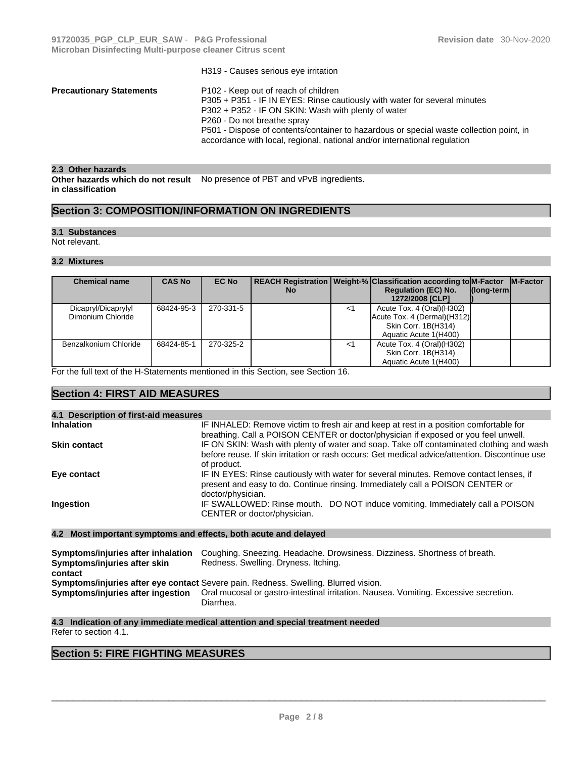|                                 | H319 - Causes serious eye irritation                                                                                                                                                                                                                                                                                                                                            |
|---------------------------------|---------------------------------------------------------------------------------------------------------------------------------------------------------------------------------------------------------------------------------------------------------------------------------------------------------------------------------------------------------------------------------|
| <b>Precautionary Statements</b> | P102 - Keep out of reach of children<br>P305 + P351 - IF IN EYES: Rinse cautiously with water for several minutes<br>P302 + P352 - IF ON SKIN: Wash with plenty of water<br>P260 - Do not breathe spray<br>P501 - Dispose of contents/container to hazardous or special waste collection point, in<br>accordance with local, regional, national and/or international regulation |
|                                 |                                                                                                                                                                                                                                                                                                                                                                                 |

#### **2.3 Other hazards**

**Other hazards which do not result** No presence of PBT and vPvB ingredients. **in classification**

# **Section 3: COMPOSITION/INFORMATION ON INGREDIENTS**

#### **3.1 Substances**

Not relevant.

#### **3.2 Mixtures**

| <b>Chemical name</b>  | <b>CAS No</b> | <b>EC No</b> |           |    | REACH Registration   Weight-%   Classification according to M-Factor   M-Factor |                     |  |
|-----------------------|---------------|--------------|-----------|----|---------------------------------------------------------------------------------|---------------------|--|
|                       |               |              | <b>No</b> |    | <b>Regulation (EC) No.</b>                                                      | $\vert$ (long-term) |  |
|                       |               |              |           |    | 1272/2008 [CLP]                                                                 |                     |  |
| Dicapryl/Dicaprylyl   | 68424-95-3    | 270-331-5    |           | <1 | Acute Tox. 4 (Oral) (H302)                                                      |                     |  |
| Dimonium Chloride     |               |              |           |    | Acute Tox. 4 (Dermal) (H312)                                                    |                     |  |
|                       |               |              |           |    | Skin Corr. 1B(H314)                                                             |                     |  |
|                       |               |              |           |    | Aquatic Acute 1(H400)                                                           |                     |  |
| Benzalkonium Chloride | 68424-85-1    | 270-325-2    |           | <1 | Acute Tox. 4 (Oral)(H302)                                                       |                     |  |
|                       |               |              |           |    | Skin Corr. 1B(H314)                                                             |                     |  |
|                       |               |              |           |    | Aquatic Acute 1(H400)                                                           |                     |  |

For the full text of the H-Statements mentioned in this Section, see Section 16.

#### **Section 4: FIRST AID MEASURES**

| 4.1 Description of first-aid measures |                                                                                                                                                                                                          |
|---------------------------------------|----------------------------------------------------------------------------------------------------------------------------------------------------------------------------------------------------------|
| <b>Inhalation</b>                     | IF INHALED: Remove victim to fresh air and keep at rest in a position comfortable for<br>breathing. Call a POISON CENTER or doctor/physician if exposed or you feel unwell.                              |
| <b>Skin contact</b>                   | IF ON SKIN: Wash with plenty of water and soap. Take off contaminated clothing and wash<br>before reuse. If skin irritation or rash occurs: Get medical advice/attention. Discontinue use<br>of product. |
| Eye contact                           | IF IN EYES: Rinse cautiously with water for several minutes. Remove contact lenses, if<br>present and easy to do. Continue rinsing. Immediately call a POISON CENTER or<br>doctor/physician.             |
| Ingestion                             | IF SWALLOWED: Rinse mouth. DO NOT induce vomiting. Immediately call a POISON<br>CENTER or doctor/physician.                                                                                              |

**Symptoms/injuries after inhalation** Coughing. Sneezing. Headache. Drowsiness. Dizziness. Shortness of breath. **Symptoms/injuries after skin contact**  Redness. Swelling. Dryness. Itching. **Symptoms/injuries after eye contact** Severe pain. Redness. Swelling. Blurred vision. Oral mucosal or gastro-intestinal irritation. Nausea. Vomiting. Excessive secretion. Diarrhea.

**4.3 Indication of any immediate medical attention and special treatment needed** Refer to section 4.1.

# **Section 5: FIRE FIGHTING MEASURES**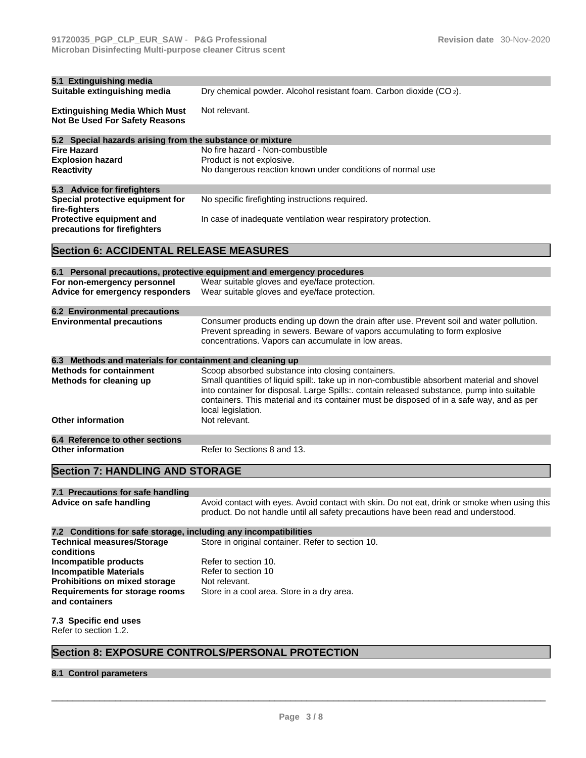| 5.1 Extinguishing media<br>Suitable extinguishing media          | Dry chemical powder. Alcohol resistant foam. Carbon dioxide (CO <sub>2</sub> ).                                                                                                         |
|------------------------------------------------------------------|-----------------------------------------------------------------------------------------------------------------------------------------------------------------------------------------|
| <b>Extinguishing Media Which Must</b>                            | Not relevant.                                                                                                                                                                           |
| Not Be Used For Safety Reasons                                   |                                                                                                                                                                                         |
| 5.2 Special hazards arising from the substance or mixture        |                                                                                                                                                                                         |
| <b>Fire Hazard</b>                                               | No fire hazard - Non-combustible                                                                                                                                                        |
| <b>Explosion hazard</b>                                          | Product is not explosive.                                                                                                                                                               |
| <b>Reactivity</b>                                                | No dangerous reaction known under conditions of normal use                                                                                                                              |
| 5.3 Advice for firefighters                                      |                                                                                                                                                                                         |
| Special protective equipment for<br>fire-fighters                | No specific firefighting instructions required.                                                                                                                                         |
| Protective equipment and<br>precautions for firefighters         | In case of inadequate ventilation wear respiratory protection.                                                                                                                          |
| <b>Section 6: ACCIDENTAL RELEASE MEASURES</b>                    |                                                                                                                                                                                         |
|                                                                  | 6.1 Personal precautions, protective equipment and emergency procedures                                                                                                                 |
| For non-emergency personnel                                      | Wear suitable gloves and eye/face protection.                                                                                                                                           |
| Advice for emergency responders                                  | Wear suitable gloves and eye/face protection.                                                                                                                                           |
| <b>6.2 Environmental precautions</b>                             |                                                                                                                                                                                         |
| <b>Environmental precautions</b>                                 | Consumer products ending up down the drain after use. Prevent soil and water pollution.<br>Prevent spreading in sewers. Beware of vapors accumulating to form explosive                 |
|                                                                  | concentrations. Vapors can accumulate in low areas.                                                                                                                                     |
| 6.3 Methods and materials for containment and cleaning up        |                                                                                                                                                                                         |
| <b>Methods for containment</b>                                   | Scoop absorbed substance into closing containers.                                                                                                                                       |
| Methods for cleaning up                                          | Small quantities of liquid spill:. take up in non-combustible absorbent material and shovel                                                                                             |
|                                                                  | into container for disposal. Large Spills:. contain released substance, pump into suitable<br>containers. This material and its container must be disposed of in a safe way, and as per |
|                                                                  | local legislation.                                                                                                                                                                      |
| <b>Other information</b>                                         | Not relevant.                                                                                                                                                                           |
| 6.4 Reference to other sections                                  |                                                                                                                                                                                         |
| <b>Other information</b>                                         | Refer to Sections 8 and 13.                                                                                                                                                             |
| <b>Section 7: HANDLING AND STORAGE</b>                           |                                                                                                                                                                                         |
| 7.1 Precautions for safe handling                                |                                                                                                                                                                                         |
| Advice on safe handling                                          | Avoid contact with eyes. Avoid contact with skin. Do not eat, drink or smoke when using this                                                                                            |
|                                                                  | product. Do not handle until all safety precautions have been read and understood.                                                                                                      |
| 7.2 Conditions for safe storage, including any incompatibilities |                                                                                                                                                                                         |
| <b>Technical measures/Storage</b><br>conditions                  | Store in original container. Refer to section 10.                                                                                                                                       |
| Incompatible products                                            | Refer to section 10.                                                                                                                                                                    |
| <b>Incompatible Materials</b>                                    | Refer to section 10                                                                                                                                                                     |
| Prohibitions on mixed storage                                    | Not relevant.                                                                                                                                                                           |
| Requirements for storage rooms<br>and containers                 | Store in a cool area. Store in a dry area.                                                                                                                                              |
| 7.3 Specific end uses                                            |                                                                                                                                                                                         |
| Refer to section 1.2.                                            |                                                                                                                                                                                         |
|                                                                  | <b>Section 8: EXPOSURE CONTROLS/PERSONAL PROTECTION</b>                                                                                                                                 |
| 8.1 Control parameters                                           |                                                                                                                                                                                         |
|                                                                  |                                                                                                                                                                                         |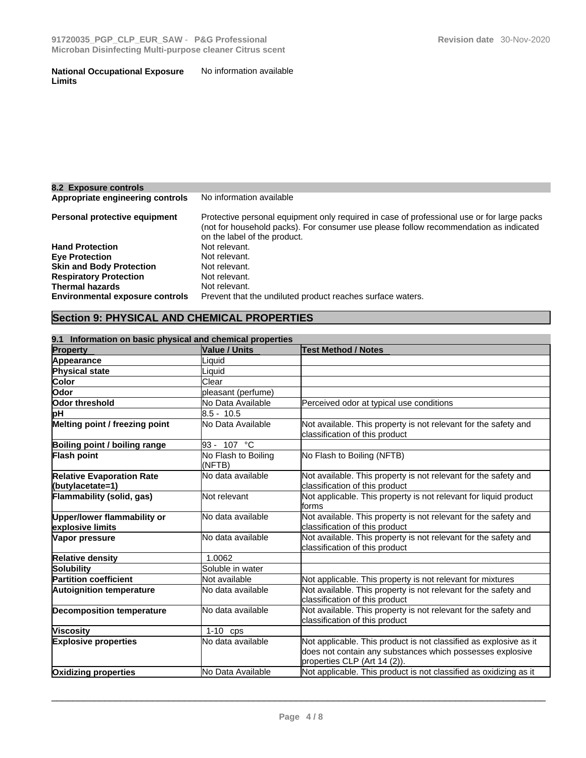#### **National Occupational Exposure Limits** No information available

| 8.2 Exposure controls                  |                                                                                                                                                                                                                     |
|----------------------------------------|---------------------------------------------------------------------------------------------------------------------------------------------------------------------------------------------------------------------|
| Appropriate engineering controls       | No information available                                                                                                                                                                                            |
| Personal protective equipment          | Protective personal equipment only required in case of professional use or for large packs<br>(not for household packs). For consumer use please follow recommendation as indicated<br>on the label of the product. |
| <b>Hand Protection</b>                 | Not relevant.                                                                                                                                                                                                       |
| <b>Eye Protection</b>                  | Not relevant.                                                                                                                                                                                                       |
| <b>Skin and Body Protection</b>        | Not relevant.                                                                                                                                                                                                       |
| <b>Respiratory Protection</b>          | Not relevant.                                                                                                                                                                                                       |
| <b>Thermal hazards</b>                 | Not relevant.                                                                                                                                                                                                       |
| <b>Environmental exposure controls</b> | Prevent that the undiluted product reaches surface waters.                                                                                                                                                          |

# **Section 9: PHYSICAL AND CHEMICAL PROPERTIES**

| 9.1 Information on basic physical and chemical properties |                               |                                                                                                                                                                |  |  |
|-----------------------------------------------------------|-------------------------------|----------------------------------------------------------------------------------------------------------------------------------------------------------------|--|--|
| <b>Property</b>                                           | <b>Value / Units</b>          | <b>Test Method / Notes</b>                                                                                                                                     |  |  |
| Appearance                                                | ∟iquid                        |                                                                                                                                                                |  |  |
| Physical state                                            | Liquid                        |                                                                                                                                                                |  |  |
| Color                                                     | Clear                         |                                                                                                                                                                |  |  |
| <b>Odor</b>                                               | pleasant (perfume)            |                                                                                                                                                                |  |  |
| Odor threshold                                            | No Data Available             | Perceived odor at typical use conditions                                                                                                                       |  |  |
| þН                                                        | 8.5 - 10.5                    |                                                                                                                                                                |  |  |
| Melting point / freezing point                            | No Data Available             | Not available. This property is not relevant for the safety and<br>classification of this product                                                              |  |  |
| Boiling point / boiling range                             | 93 - 107 °C                   |                                                                                                                                                                |  |  |
| Flash point                                               | No Flash to Boiling<br>(NFTB) | No Flash to Boiling (NFTB)                                                                                                                                     |  |  |
| <b>Relative Evaporation Rate</b><br>(butylacetate=1)      | No data available             | Not available. This property is not relevant for the safety and<br>classification of this product                                                              |  |  |
| Flammability (solid, gas)                                 | Not relevant                  | Not applicable. This property is not relevant for liquid product<br>forms                                                                                      |  |  |
| Upper/lower flammability or<br>explosive limits           | No data available             | Not available. This property is not relevant for the safety and<br>classification of this product                                                              |  |  |
| Vapor pressure                                            | No data available             | Not available. This property is not relevant for the safety and<br>classification of this product                                                              |  |  |
| <b>Relative density</b>                                   | 1.0062                        |                                                                                                                                                                |  |  |
| <b>Solubility</b>                                         | Soluble in water              |                                                                                                                                                                |  |  |
| <b>Partition coefficient</b>                              | Not available                 | Not applicable. This property is not relevant for mixtures                                                                                                     |  |  |
| Autoignition temperature                                  | No data available             | Not available. This property is not relevant for the safety and<br>classification of this product                                                              |  |  |
| <b>Decomposition temperature</b>                          | No data available             | Not available. This property is not relevant for the safety and<br>classification of this product                                                              |  |  |
| <b>Viscosity</b>                                          | $1-10$ cps                    |                                                                                                                                                                |  |  |
| <b>Explosive properties</b>                               | No data available             | Not applicable. This product is not classified as explosive as it<br>does not contain any substances which possesses explosive<br>properties CLP (Art 14 (2)). |  |  |
| <b>Oxidizing properties</b>                               | No Data Available             | Not applicable. This product is not classified as oxidizing as it                                                                                              |  |  |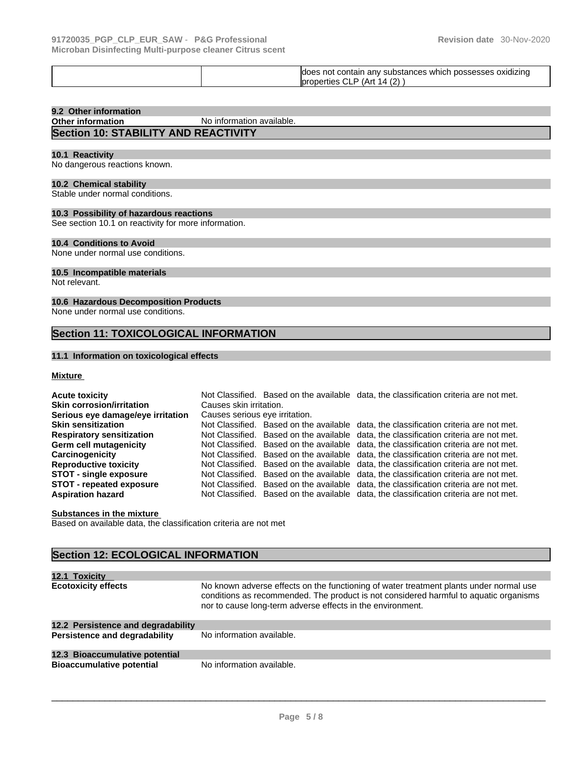|--|

# **9.2 Other information**

**No information available.** 

# **Section 10: STABILITY AND REACTIVITY**

#### **10.1 Reactivity**

No dangerous reactions known.

#### **10.2 Chemical stability**

Stable under normal conditions.

#### **10.3 Possibility of hazardous reactions**

See section 10.1 on reactivity for more information.

#### **10.4 Conditions to Avoid**

None under normal use conditions.

#### **10.5 Incompatible materials**

Not relevant.

#### **10.6 Hazardous Decomposition Products**

None under normal use conditions.

# **Section 11: TOXICOLOGICAL INFORMATION**

#### **11.1 Information on toxicological effects**

#### **Mixture**

| <b>Acute toxicity</b>             |                                | Not Classified. Based on the available data, the classification criteria are not met. |
|-----------------------------------|--------------------------------|---------------------------------------------------------------------------------------|
| <b>Skin corrosion/irritation</b>  | Causes skin irritation.        |                                                                                       |
| Serious eye damage/eye irritation | Causes serious eye irritation. |                                                                                       |
| <b>Skin sensitization</b>         |                                | Not Classified. Based on the available data, the classification criteria are not met. |
| <b>Respiratory sensitization</b>  |                                | Not Classified. Based on the available data, the classification criteria are not met. |
| Germ cell mutagenicity            |                                | Not Classified. Based on the available data, the classification criteria are not met. |
| <b>Carcinogenicity</b>            |                                | Not Classified. Based on the available data, the classification criteria are not met. |
| <b>Reproductive toxicity</b>      |                                | Not Classified. Based on the available data, the classification criteria are not met. |
| <b>STOT - single exposure</b>     |                                | Not Classified. Based on the available data, the classification criteria are not met. |
| <b>STOT - repeated exposure</b>   |                                | Not Classified. Based on the available data, the classification criteria are not met. |
| <b>Aspiration hazard</b>          |                                | Not Classified. Based on the available data, the classification criteria are not met. |

#### **Substances in the mixture**

Based on available data, the classification criteria are not met

# **Section 12: ECOLOGICAL INFORMATION**

| 12.1 Toxicity                      |                                                                                                                                                                                                                                               |
|------------------------------------|-----------------------------------------------------------------------------------------------------------------------------------------------------------------------------------------------------------------------------------------------|
| <b>Ecotoxicity effects</b>         | No known adverse effects on the functioning of water treatment plants under normal use<br>conditions as recommended. The product is not considered harmful to aquatic organisms<br>nor to cause long-term adverse effects in the environment. |
| 12.2 Persistence and degradability |                                                                                                                                                                                                                                               |
| Persistence and degradability      | No information available.                                                                                                                                                                                                                     |
| 12.3 Bioaccumulative potential     |                                                                                                                                                                                                                                               |
| <b>Bioaccumulative potential</b>   | No information available.                                                                                                                                                                                                                     |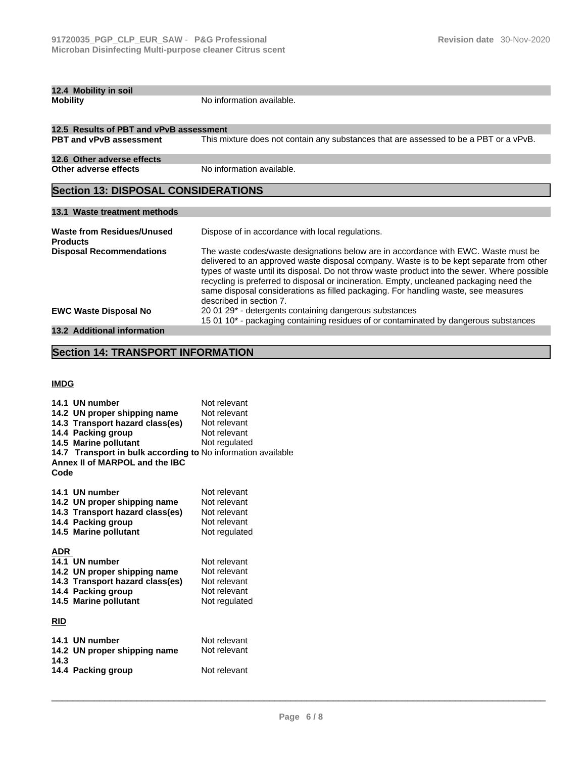| <b>Mobility</b>                                      | No information available.                                                                                                                                                                                                                                                                                                                                                                                                                                                                  |  |  |  |
|------------------------------------------------------|--------------------------------------------------------------------------------------------------------------------------------------------------------------------------------------------------------------------------------------------------------------------------------------------------------------------------------------------------------------------------------------------------------------------------------------------------------------------------------------------|--|--|--|
| 12.5 Results of PBT and vPvB assessment              |                                                                                                                                                                                                                                                                                                                                                                                                                                                                                            |  |  |  |
| <b>PBT and vPvB assessment</b>                       | This mixture does not contain any substances that are assessed to be a PBT or a vPvB.                                                                                                                                                                                                                                                                                                                                                                                                      |  |  |  |
| 12.6 Other adverse effects                           |                                                                                                                                                                                                                                                                                                                                                                                                                                                                                            |  |  |  |
| Other adverse effects                                | No information available.                                                                                                                                                                                                                                                                                                                                                                                                                                                                  |  |  |  |
| <b>Section 13: DISPOSAL CONSIDERATIONS</b>           |                                                                                                                                                                                                                                                                                                                                                                                                                                                                                            |  |  |  |
| 13.1 Waste treatment methods                         |                                                                                                                                                                                                                                                                                                                                                                                                                                                                                            |  |  |  |
| <b>Waste from Residues/Unused</b><br><b>Products</b> | Dispose of in accordance with local regulations.                                                                                                                                                                                                                                                                                                                                                                                                                                           |  |  |  |
| <b>Disposal Recommendations</b>                      | The waste codes/waste designations below are in accordance with EWC. Waste must be<br>delivered to an approved waste disposal company. Waste is to be kept separate from other<br>types of waste until its disposal. Do not throw waste product into the sewer. Where possible<br>recycling is preferred to disposal or incineration. Empty, uncleaned packaging need the<br>same disposal considerations as filled packaging. For handling waste, see measures<br>described in section 7. |  |  |  |
| <b>EWC Waste Disposal No</b>                         | 20 01 29 <sup>*</sup> - detergents containing dangerous substances<br>15 01 10* - packaging containing residues of or contaminated by dangerous substances                                                                                                                                                                                                                                                                                                                                 |  |  |  |

# **13.2 Additional information**

**12.4 Mobility in soil** 

# **Section 14: TRANSPORT INFORMATION**

**IMDG**

|            | 14.1 UN number                                               | Not relevant  |
|------------|--------------------------------------------------------------|---------------|
|            | 14.2 UN proper shipping name                                 | Not relevant  |
|            | 14.3 Transport hazard class(es)                              | Not relevant  |
|            | 14.4 Packing group                                           | Not relevant  |
|            | 14.5 Marine pollutant                                        | Not regulated |
|            | 14.7 Transport in bulk according to No information available |               |
|            | Annex II of MARPOL and the IBC                               |               |
| Code       |                                                              |               |
|            |                                                              |               |
|            | 14.1 UN number                                               | Not relevant  |
|            | 14.2 UN proper shipping name                                 | Not relevant  |
|            | 14.3 Transport hazard class(es)                              | Not relevant  |
|            | 14.4 Packing group                                           | Not relevant  |
|            | 14.5 Marine pollutant                                        | Not regulated |
|            |                                                              |               |
| <b>ADR</b> |                                                              |               |
|            | 14.1 UN number                                               | Not relevant  |
|            | 14.2 UN proper shipping name                                 | Not relevant  |
|            | 14.3 Transport hazard class(es)                              | Not relevant  |
|            | 14.4 Packing group                                           | Not relevant  |
|            | 14.5 Marine pollutant                                        | Not regulated |
|            |                                                              |               |
| <b>RID</b> |                                                              |               |
|            |                                                              |               |
|            | 14.1 UN number                                               | Not relevant  |
|            | 14.2 UN proper shipping name                                 | Not relevant  |
| 14.3       |                                                              |               |
|            | 14.4 Packing group                                           | Not relevant  |
|            |                                                              |               |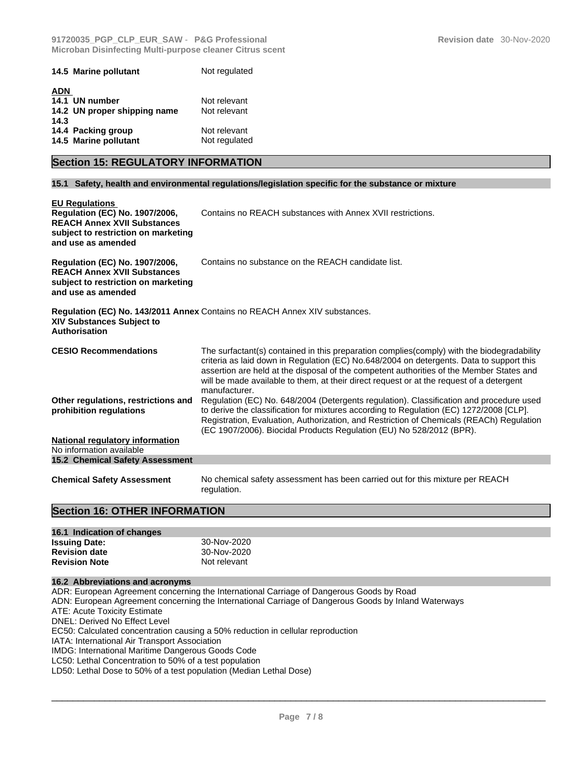|            | 14.5 Marine pollutant        | Not regulated |
|------------|------------------------------|---------------|
| <b>ADN</b> |                              |               |
|            | 14.1 UN number               | Not relevant  |
|            | 14.2 UN proper shipping name | Not relevant  |
| 14.3       |                              |               |
|            | 14.4 Packing group           | Not relevant  |
|            | 14.5 Marine pollutant        | Not regulated |

# **Section 15: REGULATORY INFORMATION**

#### **15.1 Safety, health and environmental regulations/legislation specific for the substance or mixture**

| <b>EU Regulations</b><br><b>Regulation (EC) No. 1907/2006,</b><br><b>REACH Annex XVII Substances</b><br>subject to restriction on marketing<br>and use as amended | Contains no REACH substances with Annex XVII restrictions.                                                                                                                                                                                                                                                                                                                                      |
|-------------------------------------------------------------------------------------------------------------------------------------------------------------------|-------------------------------------------------------------------------------------------------------------------------------------------------------------------------------------------------------------------------------------------------------------------------------------------------------------------------------------------------------------------------------------------------|
| <b>Regulation (EC) No. 1907/2006,</b><br><b>REACH Annex XVII Substances</b><br>subject to restriction on marketing<br>and use as amended                          | Contains no substance on the REACH candidate list.                                                                                                                                                                                                                                                                                                                                              |
| <b>XIV Substances Subject to</b><br>Authorisation                                                                                                                 | <b>Regulation (EC) No. 143/2011 Annex Contains no REACH Annex XIV substances.</b>                                                                                                                                                                                                                                                                                                               |
| <b>CESIO Recommendations</b>                                                                                                                                      | The surfactant(s) contained in this preparation complies(comply) with the biodegradability<br>criteria as laid down in Regulation (EC) No.648/2004 on detergents. Data to support this<br>assertion are held at the disposal of the competent authorities of the Member States and<br>will be made available to them, at their direct request or at the request of a detergent<br>manufacturer. |
| Other regulations, restrictions and<br>prohibition regulations                                                                                                    | Regulation (EC) No. 648/2004 (Detergents regulation). Classification and procedure used<br>to derive the classification for mixtures according to Regulation (EC) 1272/2008 [CLP].<br>Registration, Evaluation, Authorization, and Restriction of Chemicals (REACh) Regulation<br>(EC 1907/2006). Biocidal Products Regulation (EU) No 528/2012 (BPR).                                          |
| <b>National regulatory information</b><br>No information available                                                                                                |                                                                                                                                                                                                                                                                                                                                                                                                 |
| <b>15.2 Chemical Safety Assessment</b>                                                                                                                            |                                                                                                                                                                                                                                                                                                                                                                                                 |
| <b>Chemical Safety Assessment</b>                                                                                                                                 | No chemical safety assessment has been carried out for this mixture per REACH<br>regulation.                                                                                                                                                                                                                                                                                                    |

#### **Section 16: OTHER INFORMATION**

| 16.1 Indication of changes |              |
|----------------------------|--------------|
| <b>Issuing Date:</b>       | 30-Nov-2020  |
| <b>Revision date</b>       | 30-Nov-2020  |
| <b>Revision Note</b>       | Not relevant |

#### **16.2 Abbreviations and acronyms**

ADR: European Agreement concerning the International Carriage of Dangerous Goods by Road ADN: European Agreement concerning the International Carriage of Dangerous Goods by Inland Waterways ATE: Acute Toxicity Estimate DNEL: Derived No Effect Level EC50: Calculated concentration causing a 50% reduction in cellular reproduction IATA: International Air Transport Association IMDG: International Maritime Dangerous Goods Code LC50: Lethal Concentration to 50% of a test population LD50: Lethal Dose to 50% of a test population (Median Lethal Dose)